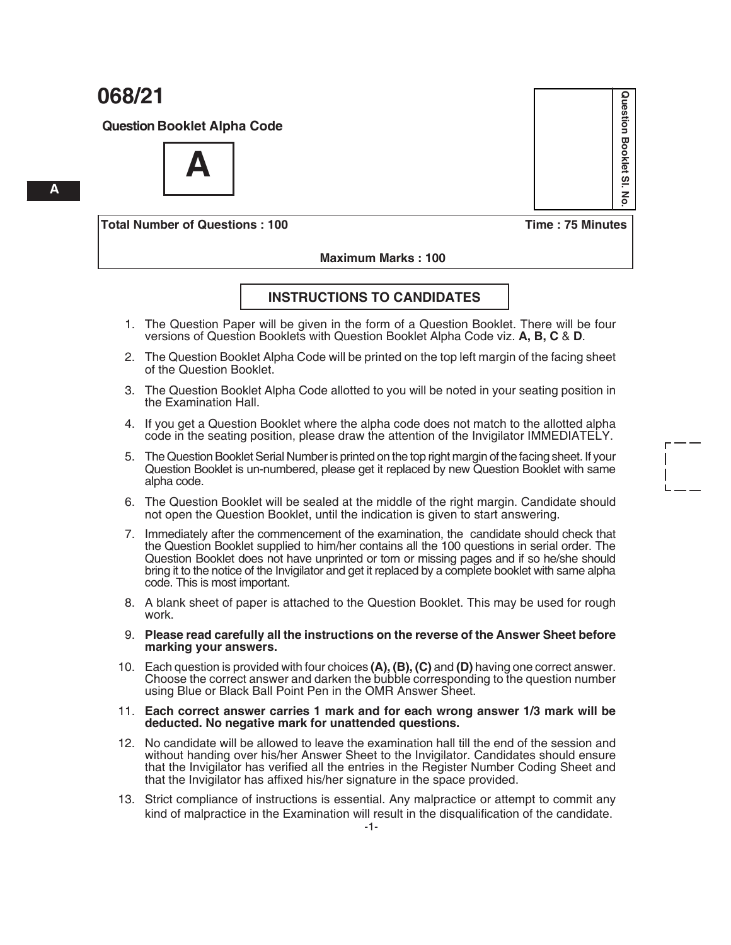**Question Booklet Alpha Code**



**Total Number of Questions : 100 Time : 75 Minutes**

 **Maximum Marks : 100**

#### **INSTRUCTIONS TO CANDIDATES**

- 1. The Question Paper will be given in the form of a Question Booklet. There will be four versions of Question Booklets with Question Booklet Alpha Code viz. **A, B, C** & **D**.
- 2. The Question Booklet Alpha Code will be printed on the top left margin of the facing sheet of the Question Booklet.
- 3. The Question Booklet Alpha Code allotted to you will be noted in your seating position in the Examination Hall.
- 4. If you get a Question Booklet where the alpha code does not match to the allotted alpha code in the seating position, please draw the attention of the Invigilator IMMEDIATELY.
- 5. The Question Booklet Serial Number is printed on the top right margin of the facing sheet. If your Question Booklet is un-numbered, please get it replaced by new Question Booklet with same alpha code.
- 6. The Question Booklet will be sealed at the middle of the right margin. Candidate should not open the Question Booklet, until the indication is given to start answering.
- 7. Immediately after the commencement of the examination, the candidate should check that the Question Booklet supplied to him/her contains all the 100 questions in serial order. The Question Booklet does not have unprinted or torn or missing pages and if so he/she should bring it to the notice of the Invigilator and get it replaced by a complete booklet with same alpha code. This is most important.
- 8. A blank sheet of paper is attached to the Question Booklet. This may be used for rough work.
- 9. **Please read carefully all the instructions on the reverse of the Answer Sheet before marking your answers.**
- 10. Each question is provided with four choices **(A), (B), (C)** and **(D)** having one correct answer. Choose the correct answer and darken the bubble corresponding to the question number using Blue or Black Ball Point Pen in the OMR Answer Sheet.
- 11. **Each correct answer carries 1 mark and for each wrong answer 1/3 mark will be deducted. No negative mark for unattended questions.**
- 12. No candidate will be allowed to leave the examination hall till the end of the session and without handing over his/her Answer Sheet to the Invigilator. Candidates should ensure that the Invigilator has verified all the entries in the Register Number Coding Sheet and that the Invigilator has affixed his/her signature in the space provided.
- 13. Strict compliance of instructions is essential. Any malpractice or attempt to commit any kind of malpractice in the Examination will result in the disqualification of the candidate.



 **A**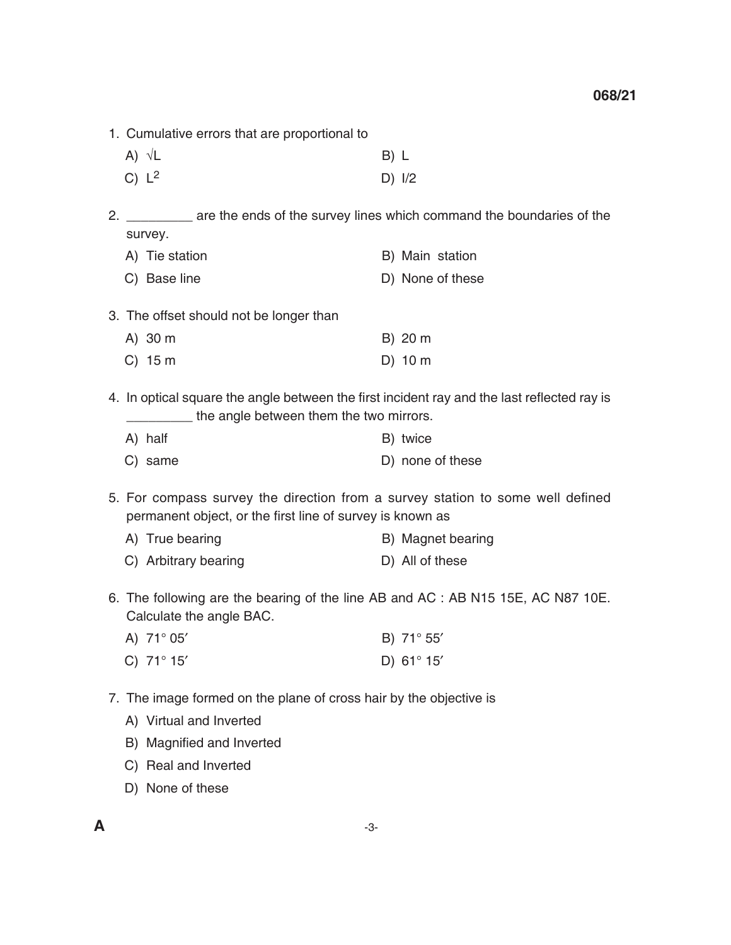- 1. Cumulative errors that are proportional to
	- A)  $\sqrt{L}$  B) L
	- C)  $L^2$  D)  $1/2$

2. \_\_\_\_\_\_\_\_ are the ends of the survey lines which command the boundaries of the survey.

| A) Tie station | B) Main station  |
|----------------|------------------|
| C) Base line   | D) None of these |

3. The offset should not be longer than

| $A)$ 30 m | B) 20 m   |
|-----------|-----------|
| $C)$ 15 m | $D)$ 10 m |

 4. In optical square the angle between the first incident ray and the last reflected ray is **\_\_\_\_\_\_\_\_\_** the angle between them the two mirrors.

| A) half | B) twice         |
|---------|------------------|
| C) same | D) none of these |

 5. For compass survey the direction from a survey station to some well defined permanent object, or the first line of survey is known as

- A) True bearing B) Magnet bearing
- C) Arbitrary bearing D) All of these
- 6. The following are the bearing of the line AB and AC : AB N15 15E, AC N87 10E. Calculate the angle BAC.
	- A)  $71^\circ 05'$  B)  $71^\circ 55'$
	- C)  $71^\circ 15'$  D)  $61^\circ 15'$
- 7. The image formed on the plane of cross hair by the objective is
	- A) Virtual and Inverted
	- B) Magnified and Inverted
	- C) Real and Inverted
	- D) None of these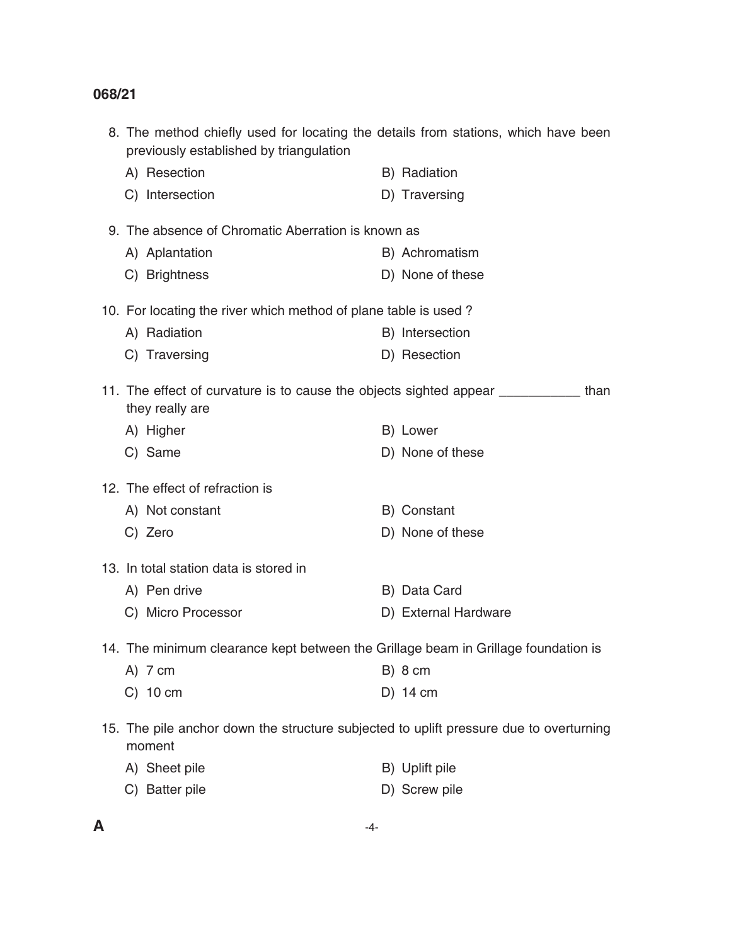| previously established by triangulation                                            | 8. The method chiefly used for locating the details from stations, which have been     |  |  |  |  |
|------------------------------------------------------------------------------------|----------------------------------------------------------------------------------------|--|--|--|--|
| A) Resection                                                                       | B) Radiation                                                                           |  |  |  |  |
| C) Intersection                                                                    | D) Traversing                                                                          |  |  |  |  |
| 9. The absence of Chromatic Aberration is known as                                 |                                                                                        |  |  |  |  |
| A) Aplantation                                                                     | B) Achromatism                                                                         |  |  |  |  |
| C) Brightness                                                                      | D) None of these                                                                       |  |  |  |  |
| 10. For locating the river which method of plane table is used?                    |                                                                                        |  |  |  |  |
| A) Radiation                                                                       | B) Intersection                                                                        |  |  |  |  |
| C) Traversing                                                                      | D) Resection                                                                           |  |  |  |  |
| they really are                                                                    | 11. The effect of curvature is to cause the objects sighted appear ___________ than    |  |  |  |  |
| A) Higher                                                                          | B) Lower                                                                               |  |  |  |  |
| C) Same                                                                            | D) None of these                                                                       |  |  |  |  |
| 12. The effect of refraction is                                                    |                                                                                        |  |  |  |  |
| A) Not constant                                                                    | B) Constant                                                                            |  |  |  |  |
| C) Zero                                                                            | D) None of these                                                                       |  |  |  |  |
| 13. In total station data is stored in                                             |                                                                                        |  |  |  |  |
| A) Pen drive                                                                       | B) Data Card                                                                           |  |  |  |  |
| C) Micro Processor                                                                 | D) External Hardware                                                                   |  |  |  |  |
| 14. The minimum clearance kept between the Grillage beam in Grillage foundation is |                                                                                        |  |  |  |  |
| A) 7 cm                                                                            | B) 8 cm                                                                                |  |  |  |  |
| $C)$ 10 cm                                                                         | $D)$ 14 cm                                                                             |  |  |  |  |
| moment                                                                             | 15. The pile anchor down the structure subjected to uplift pressure due to overturning |  |  |  |  |
| A) Sheet pile                                                                      | B) Uplift pile                                                                         |  |  |  |  |
| C) Batter pile                                                                     | D) Screw pile                                                                          |  |  |  |  |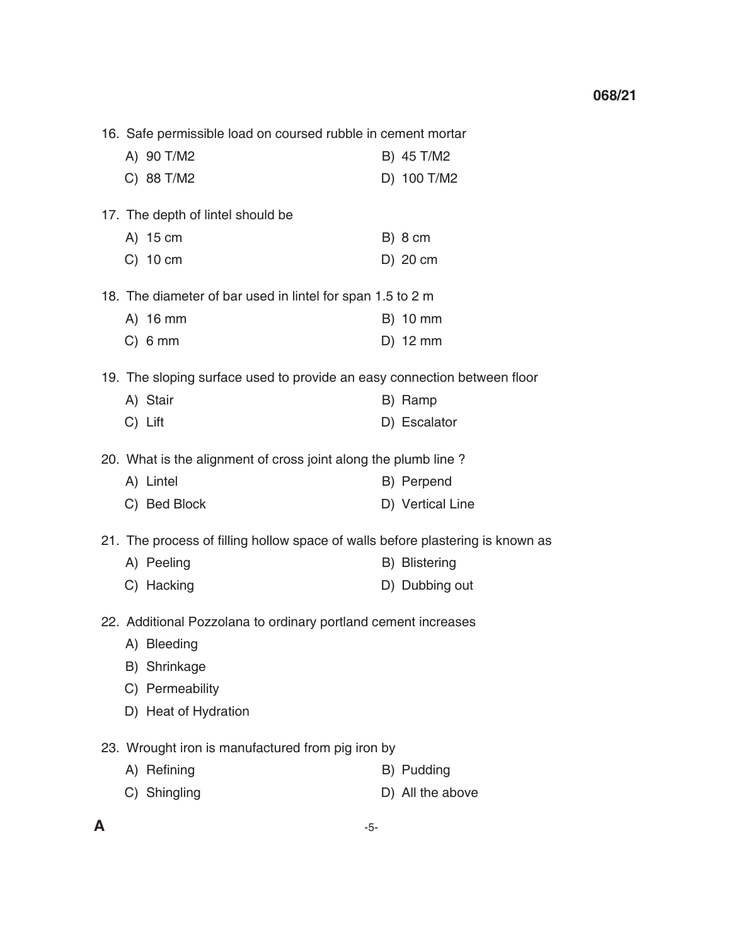16. Safe permissible load on coursed rubble in cement mortar A) 90 T/M2 B) 45 T/M2 C) 88 T/M2 D) 100 T/M2 17. The depth of lintel should be A) 15 cm B) 8 cm C) 10 cm D) 20 cm 18. The diameter of bar used in lintel for span 1.5 to 2 m A) 16 mm B) 10 mm C) 6 mm D) 12 mm 19. The sloping surface used to provide an easy connection between floor A) Stair B) Ramp C) Lift D) Escalator 20. What is the alignment of cross joint along the plumb line ? A) Lintel B) Perpend C) Bed Block D) Vertical Line 21. The process of filling hollow space of walls before plastering is known as A) Peeling and B) Blistering C) Hacking D) Dubbing out 22. Additional Pozzolana to ordinary portland cement increases A) Bleeding B) Shrinkage C) Permeability D) Heat of Hydration 23. Wrought iron is manufactured from pig iron by A) Refining B) Pudding C) Shingling D) All the above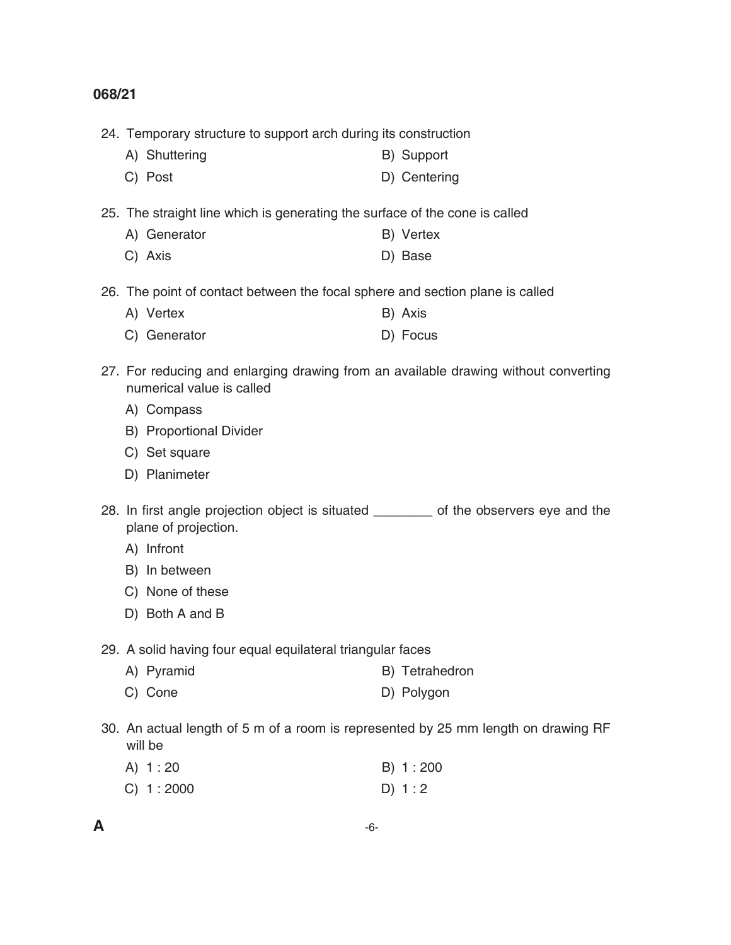24. Temporary structure to support arch during its construction

- A) Shuttering B) Support
- C) Post D) Centering

25. The straight line which is generating the surface of the cone is called

- A) Generator B) Vertex
	- C) Axis D) Base

26. The point of contact between the focal sphere and section plane is called

- A) Vertex B) Axis
- C) Generator D) Focus
- 27. For reducing and enlarging drawing from an available drawing without converting numerical value is called
	- A) Compass
	- B) Proportional Divider
	- C) Set square
	- D) Planimeter

28. In first angle projection object is situated \_\_\_\_\_\_\_\_ of the observers eye and the plane of projection.

- A) Infront
- B) In between
- C) None of these
- D) Both A and B

29. A solid having four equal equilateral triangular faces

- A) Pyramid B) Tetrahedron
- C) Cone D) Polygon
- 30. An actual length of 5 m of a room is represented by 25 mm length on drawing RF will be

| A) 1:20   | B) 1:200 |
|-----------|----------|
| C) 1:2000 | D) $1:2$ |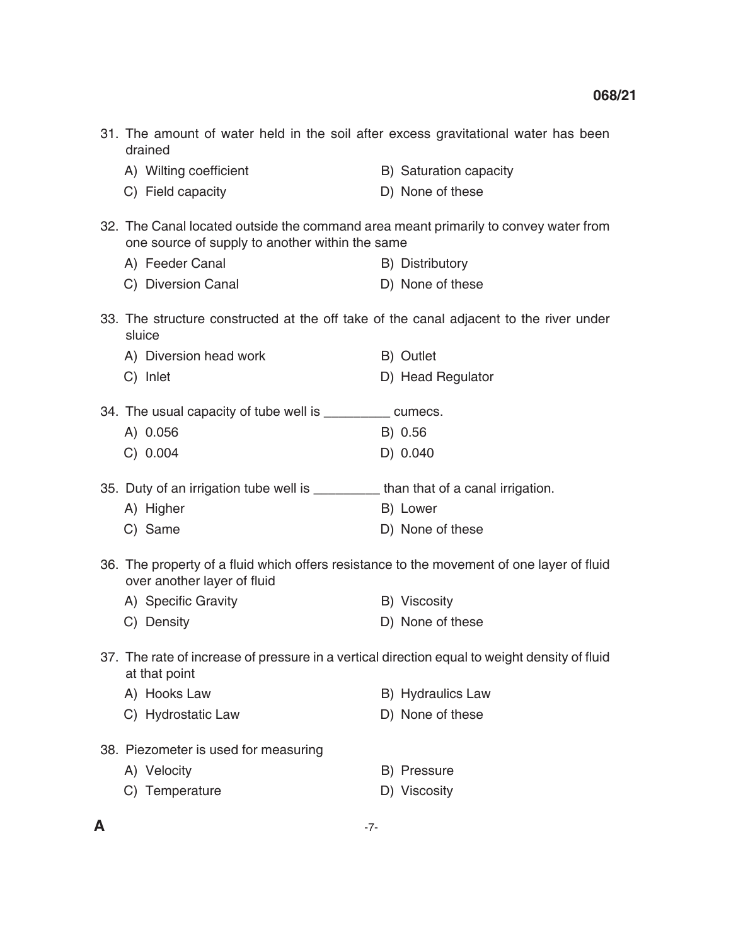| 31. The amount of water held in the soil after excess gravitational water has been<br>drained                                          |                        |  |  |  |
|----------------------------------------------------------------------------------------------------------------------------------------|------------------------|--|--|--|
| A) Wilting coefficient                                                                                                                 | B) Saturation capacity |  |  |  |
| C) Field capacity                                                                                                                      | D) None of these       |  |  |  |
| 32. The Canal located outside the command area meant primarily to convey water from<br>one source of supply to another within the same |                        |  |  |  |
| A) Feeder Canal                                                                                                                        | B) Distributory        |  |  |  |
| C) Diversion Canal                                                                                                                     | D) None of these       |  |  |  |
| 33. The structure constructed at the off take of the canal adjacent to the river under<br>sluice                                       |                        |  |  |  |
| A) Diversion head work                                                                                                                 | B) Outlet              |  |  |  |
| C) Inlet                                                                                                                               | D) Head Regulator      |  |  |  |
| 34. The usual capacity of tube well is ____________ cumecs.                                                                            |                        |  |  |  |
| A) 0.056                                                                                                                               | B) 0.56                |  |  |  |
| C) 0.004                                                                                                                               | D) 0.040               |  |  |  |
| 35. Duty of an irrigation tube well is ________ than that of a canal irrigation.                                                       |                        |  |  |  |
| A) Higher                                                                                                                              | B) Lower               |  |  |  |
| C) Same                                                                                                                                | D) None of these       |  |  |  |
| 36. The property of a fluid which offers resistance to the movement of one layer of fluid<br>over another layer of fluid               |                        |  |  |  |
| A) Specific Gravity                                                                                                                    | B) Viscosity           |  |  |  |
| C) Density                                                                                                                             | D) None of these       |  |  |  |
| 37. The rate of increase of pressure in a vertical direction equal to weight density of fluid<br>at that point                         |                        |  |  |  |
| A) Hooks Law                                                                                                                           | B) Hydraulics Law      |  |  |  |
| C) Hydrostatic Law                                                                                                                     | D) None of these       |  |  |  |
| 38. Piezometer is used for measuring                                                                                                   |                        |  |  |  |
| A) Velocity                                                                                                                            | B) Pressure            |  |  |  |
| C) Temperature                                                                                                                         | D) Viscosity           |  |  |  |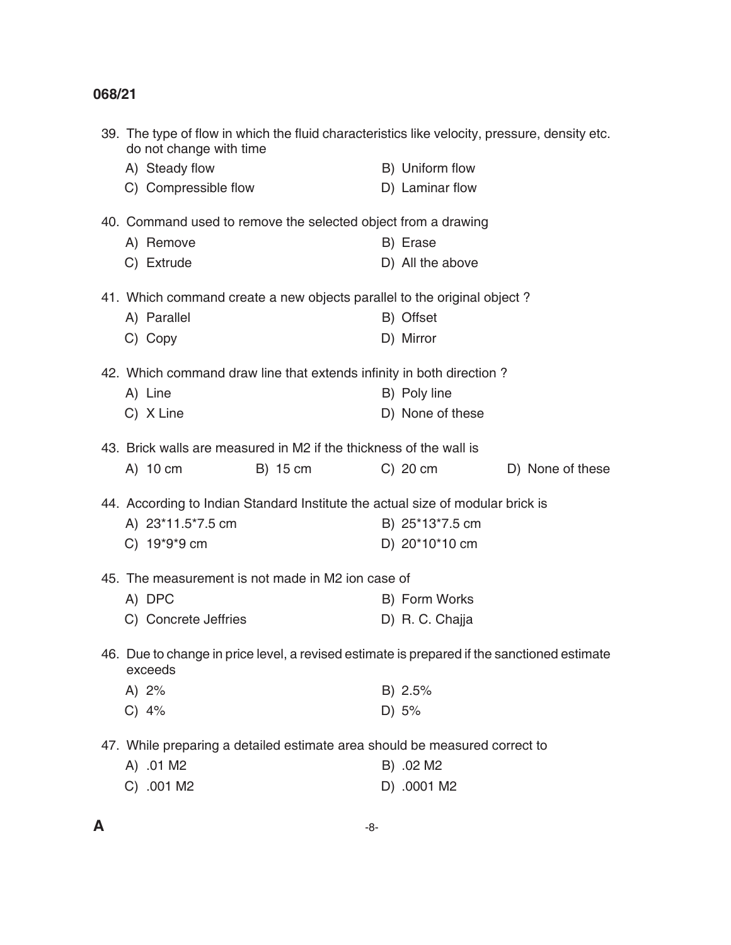| 39. The type of flow in which the fluid characteristics like velocity, pressure, density etc.<br>do not change with time |                                |  |  |  |
|--------------------------------------------------------------------------------------------------------------------------|--------------------------------|--|--|--|
| A) Steady flow                                                                                                           | B) Uniform flow                |  |  |  |
| C) Compressible flow                                                                                                     | D) Laminar flow                |  |  |  |
| 40. Command used to remove the selected object from a drawing                                                            |                                |  |  |  |
| A) Remove                                                                                                                | B) Erase                       |  |  |  |
| C) Extrude                                                                                                               | D) All the above               |  |  |  |
| 41. Which command create a new objects parallel to the original object?                                                  |                                |  |  |  |
| A) Parallel                                                                                                              | B) Offset                      |  |  |  |
| C) Copy                                                                                                                  | D) Mirror                      |  |  |  |
| 42. Which command draw line that extends infinity in both direction?                                                     |                                |  |  |  |
| A) Line                                                                                                                  | B) Poly line                   |  |  |  |
| C) X Line                                                                                                                | D) None of these               |  |  |  |
| 43. Brick walls are measured in M2 if the thickness of the wall is                                                       |                                |  |  |  |
| A) 10 cm<br>B) 15 cm                                                                                                     | D) None of these<br>$C)$ 20 cm |  |  |  |
| 44. According to Indian Standard Institute the actual size of modular brick is                                           |                                |  |  |  |
| A) 23*11.5*7.5 cm                                                                                                        | B) 25*13*7.5 cm                |  |  |  |
| C) 19*9*9 cm                                                                                                             | D) 20*10*10 cm                 |  |  |  |
| 45. The measurement is not made in M2 ion case of                                                                        |                                |  |  |  |
| A) DPC                                                                                                                   | B) Form Works                  |  |  |  |
| C) Concrete Jeffries                                                                                                     | D) R. C. Chajja                |  |  |  |
| 46. Due to change in price level, a revised estimate is prepared if the sanctioned estimate<br>exceeds                   |                                |  |  |  |
| A) $2%$                                                                                                                  | B) 2.5%                        |  |  |  |
| $C)$ 4%                                                                                                                  | D) 5%                          |  |  |  |
| 47. While preparing a detailed estimate area should be measured correct to                                               |                                |  |  |  |
| A) .01 M2                                                                                                                | B) .02 M2                      |  |  |  |
| C) .001 M2                                                                                                               | D) .0001 M2                    |  |  |  |
|                                                                                                                          |                                |  |  |  |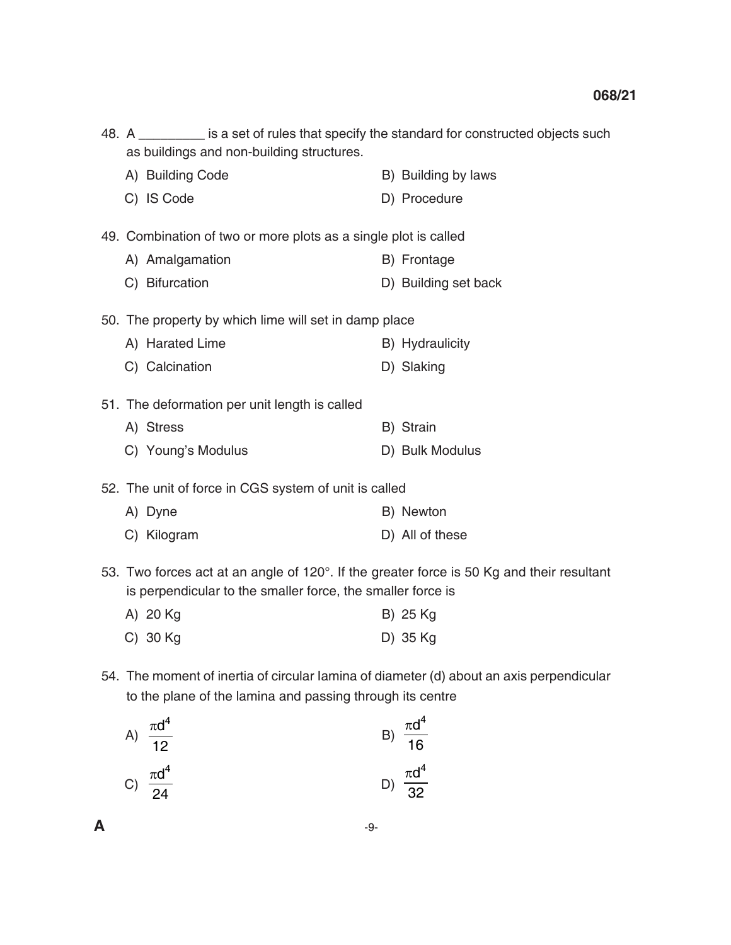| 48. A _________ is a set of rules that specify the standard for constructed objects such<br>as buildings and non-building structures.                    |                      |
|----------------------------------------------------------------------------------------------------------------------------------------------------------|----------------------|
| A) Building Code                                                                                                                                         | B) Building by laws  |
| C) IS Code                                                                                                                                               | D) Procedure         |
| 49. Combination of two or more plots as a single plot is called                                                                                          |                      |
| A) Amalgamation                                                                                                                                          | B) Frontage          |
| C) Bifurcation                                                                                                                                           | D) Building set back |
| 50. The property by which lime will set in damp place                                                                                                    |                      |
| A) Harated Lime                                                                                                                                          | B) Hydraulicity      |
| C) Calcination                                                                                                                                           | D) Slaking           |
| 51. The deformation per unit length is called                                                                                                            |                      |
| A) Stress                                                                                                                                                | B) Strain            |
| C) Young's Modulus                                                                                                                                       | D) Bulk Modulus      |
| 52. The unit of force in CGS system of unit is called                                                                                                    |                      |
| A) Dyne                                                                                                                                                  | B) Newton            |
| C) Kilogram                                                                                                                                              | D) All of these      |
| 53. Two forces act at an angle of 120°. If the greater force is 50 Kg and their resultant<br>is perpendicular to the smaller force, the smaller force is |                      |
| A) 20 Kg                                                                                                                                                 | B) 25 Kg             |
| $C)$ 30 Kg                                                                                                                                               | D) 35 Kg             |
| 54. The moment of inertia of circular lamina of diameter (d) about an axis perpendicular<br>to the plane of the lamina and passing through its centre    |                      |

A) 
$$
\frac{\pi d^4}{12}
$$
  
\nB)  $\frac{\pi d^4}{16}$   
\nC)  $\frac{\pi d^4}{24}$   
\nD)  $\frac{\pi d^4}{32}$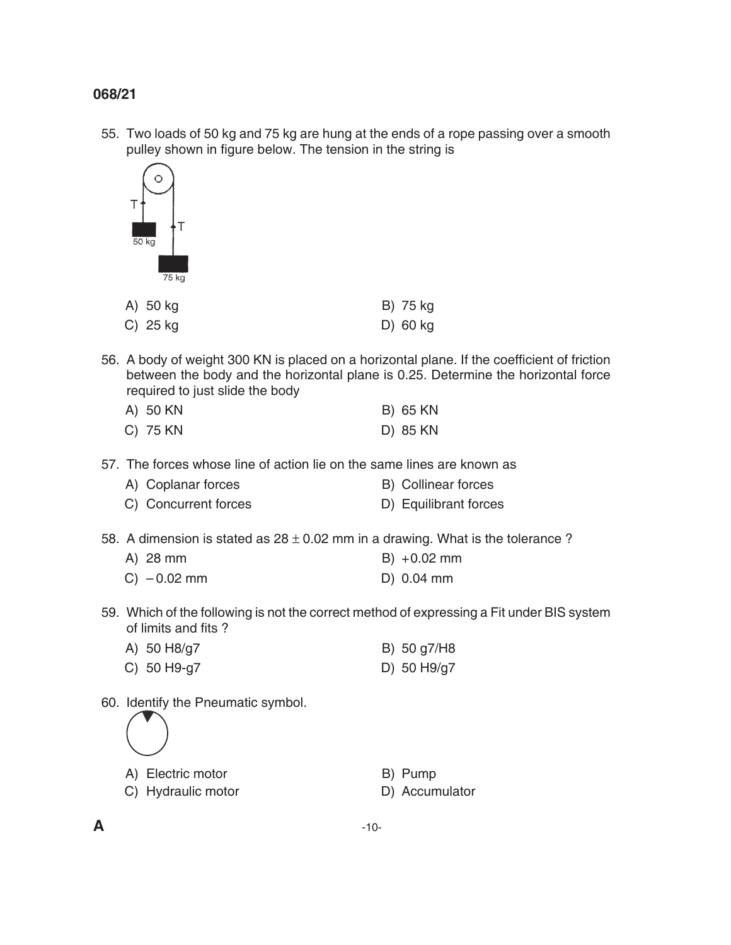55. Two loads of 50 kg and 75 kg are hung at the ends of a rope passing over a smooth pulley shown in figure below. The tension in the string is



| A) 50 kg   | B) 75 kg |
|------------|----------|
| C) $25$ kg | D) 60 kg |

 56. A body of weight 300 KN is placed on a horizontal plane. If the coefficient of friction between the body and the horizontal plane is 0.25. Determine the horizontal force required to just slide the body

| A) 50 KN | <b>B) 65 KN</b> |
|----------|-----------------|
| C) 75 KN | D) 85 KN        |

- 57. The forces whose line of action lie on the same lines are known as
	- A) Coplanar forces B) Collinear forces
	- C) Concurrent forces D) Equilibrant forces
- 58. A dimension is stated as  $28 \pm 0.02$  mm in a drawing. What is the tolerance ?
	- A) 28 mm B) +0.02 mm
	- C) 0.02 mm D) 0.04 mm
- 59. Which of the following is not the correct method of expressing a Fit under BIS system of limits and fits ?
	- A) 50 H8/g7 B) 50 g7/H8 C) 50 H9-g7 D) 50 H9/g7
- 60. Identify the Pneumatic symbol.

A) Electric motor B) Pump

- C) Hydraulic motor D) Accumulator
- -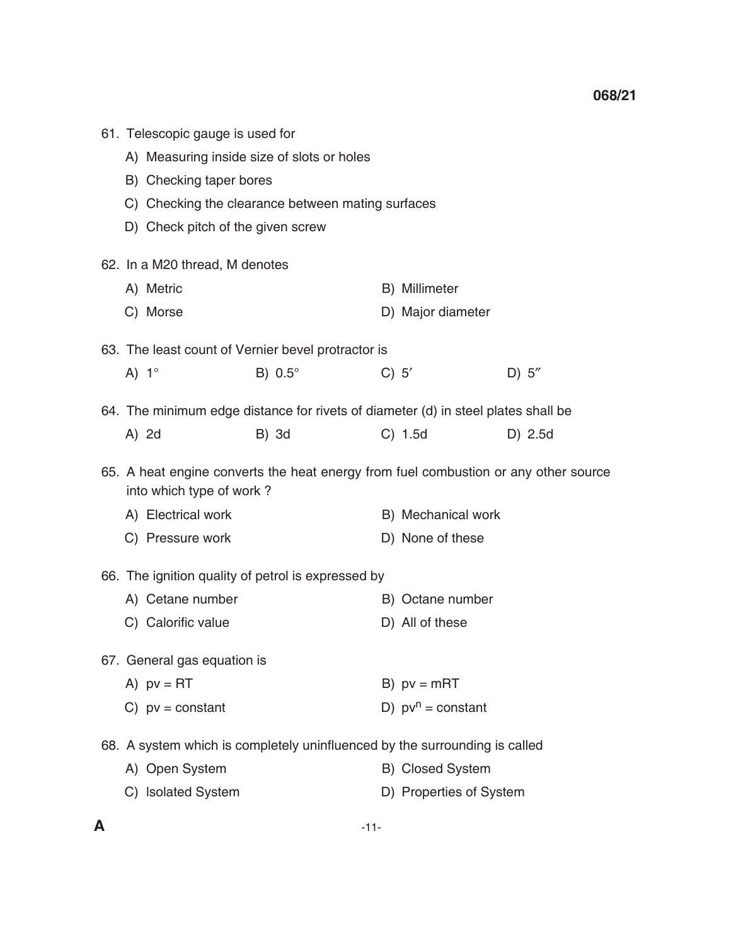| 61. Telescopic gauge is used for                                                                                |                                                   |  |                         |         |
|-----------------------------------------------------------------------------------------------------------------|---------------------------------------------------|--|-------------------------|---------|
| A) Measuring inside size of slots or holes                                                                      |                                                   |  |                         |         |
| B) Checking taper bores                                                                                         |                                                   |  |                         |         |
|                                                                                                                 | C) Checking the clearance between mating surfaces |  |                         |         |
| D) Check pitch of the given screw                                                                               |                                                   |  |                         |         |
| 62. In a M20 thread, M denotes                                                                                  |                                                   |  |                         |         |
| A) Metric                                                                                                       |                                                   |  | B) Millimeter           |         |
| C) Morse                                                                                                        |                                                   |  | D) Major diameter       |         |
| 63. The least count of Vernier bevel protractor is                                                              |                                                   |  |                         |         |
| A) $1^\circ$                                                                                                    | B) $0.5^\circ$                                    |  | C) 5'                   | D) 5"   |
| 64. The minimum edge distance for rivets of diameter (d) in steel plates shall be                               |                                                   |  |                         |         |
| A) 2d                                                                                                           | <b>B)</b> 3d                                      |  | $C)$ 1.5d               | D) 2.5d |
| 65. A heat engine converts the heat energy from fuel combustion or any other source<br>into which type of work? |                                                   |  |                         |         |
| A) Electrical work                                                                                              |                                                   |  | B) Mechanical work      |         |
| C) Pressure work                                                                                                |                                                   |  | D) None of these        |         |
| 66. The ignition quality of petrol is expressed by                                                              |                                                   |  |                         |         |
| A) Cetane number                                                                                                |                                                   |  | B) Octane number        |         |
| C) Calorific value                                                                                              |                                                   |  | D) All of these         |         |
| 67. General gas equation is                                                                                     |                                                   |  |                         |         |
| A) $pv = RT$                                                                                                    |                                                   |  | B) $pv = mRT$           |         |
| C) $pv = constant$                                                                                              |                                                   |  | D) $pv^n = constant$    |         |
| 68. A system which is completely uninfluenced by the surrounding is called                                      |                                                   |  |                         |         |
| A) Open System                                                                                                  |                                                   |  | B) Closed System        |         |
| C) Isolated System                                                                                              |                                                   |  | D) Properties of System |         |
|                                                                                                                 |                                                   |  |                         |         |

**A** -11-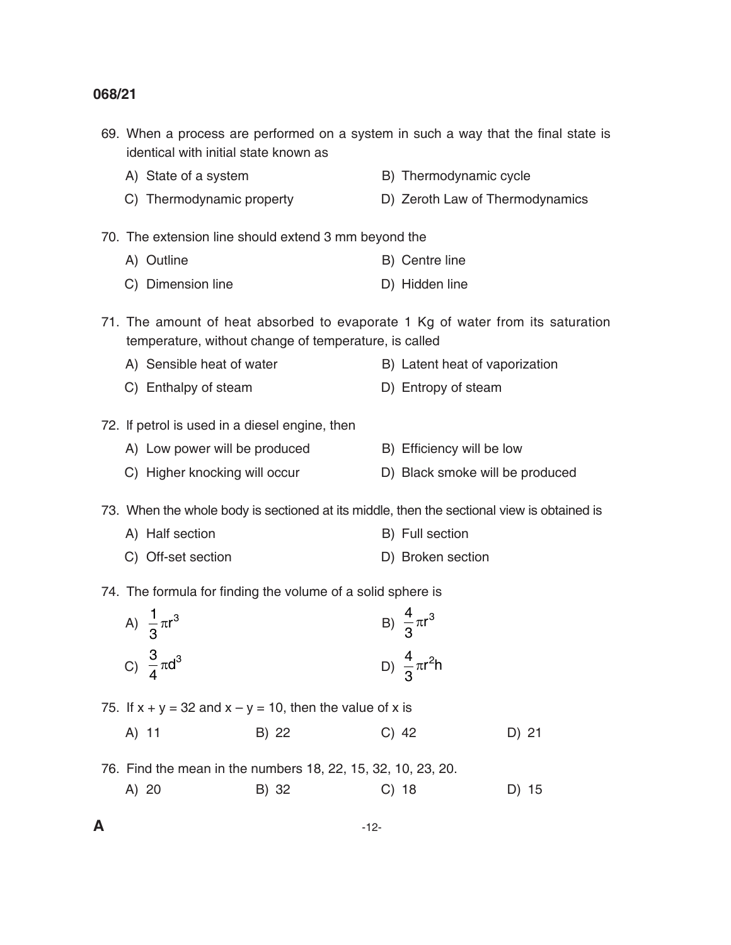|   | 69. When a process are performed on a system in such a way that the final state is<br>identical with initial state known as |                                                |                                                                                                                                         |  |                                 |       |
|---|-----------------------------------------------------------------------------------------------------------------------------|------------------------------------------------|-----------------------------------------------------------------------------------------------------------------------------------------|--|---------------------------------|-------|
|   |                                                                                                                             | A) State of a system                           |                                                                                                                                         |  | B) Thermodynamic cycle          |       |
|   |                                                                                                                             | C) Thermodynamic property                      |                                                                                                                                         |  | D) Zeroth Law of Thermodynamics |       |
|   |                                                                                                                             |                                                | 70. The extension line should extend 3 mm beyond the                                                                                    |  |                                 |       |
|   |                                                                                                                             | A) Outline                                     |                                                                                                                                         |  | B) Centre line                  |       |
|   |                                                                                                                             | C) Dimension line                              |                                                                                                                                         |  | D) Hidden line                  |       |
|   |                                                                                                                             |                                                | 71. The amount of heat absorbed to evaporate 1 Kg of water from its saturation<br>temperature, without change of temperature, is called |  |                                 |       |
|   |                                                                                                                             | A) Sensible heat of water                      |                                                                                                                                         |  | B) Latent heat of vaporization  |       |
|   |                                                                                                                             | C) Enthalpy of steam                           |                                                                                                                                         |  | D) Entropy of steam             |       |
|   |                                                                                                                             | 72. If petrol is used in a diesel engine, then |                                                                                                                                         |  |                                 |       |
|   |                                                                                                                             | A) Low power will be produced                  |                                                                                                                                         |  | B) Efficiency will be low       |       |
|   |                                                                                                                             | C) Higher knocking will occur                  |                                                                                                                                         |  | D) Black smoke will be produced |       |
|   |                                                                                                                             |                                                | 73. When the whole body is sectioned at its middle, then the sectional view is obtained is                                              |  |                                 |       |
|   |                                                                                                                             | A) Half section                                |                                                                                                                                         |  | B) Full section                 |       |
|   |                                                                                                                             | C) Off-set section                             |                                                                                                                                         |  | D) Broken section               |       |
|   |                                                                                                                             |                                                | 74. The formula for finding the volume of a solid sphere is                                                                             |  |                                 |       |
|   |                                                                                                                             | A) $\frac{1}{3}\pi r^3$                        |                                                                                                                                         |  | B) $\frac{4}{3}\pi r^3$         |       |
|   |                                                                                                                             |                                                |                                                                                                                                         |  |                                 |       |
|   |                                                                                                                             | C) $\frac{3}{4}\pi d^3$                        |                                                                                                                                         |  | D) $\frac{4}{3}\pi r^2 h$       |       |
|   |                                                                                                                             |                                                | 75. If $x + y = 32$ and $x - y = 10$ , then the value of x is                                                                           |  |                                 |       |
|   | A) 11                                                                                                                       |                                                | B) 22                                                                                                                                   |  | $C)$ 42                         | D) 21 |
|   |                                                                                                                             |                                                | 76. Find the mean in the numbers 18, 22, 15, 32, 10, 23, 20.                                                                            |  |                                 |       |
|   | A) 20                                                                                                                       |                                                | B) 32                                                                                                                                   |  | $C)$ 18                         | D) 15 |
| A |                                                                                                                             |                                                | $-12-$                                                                                                                                  |  |                                 |       |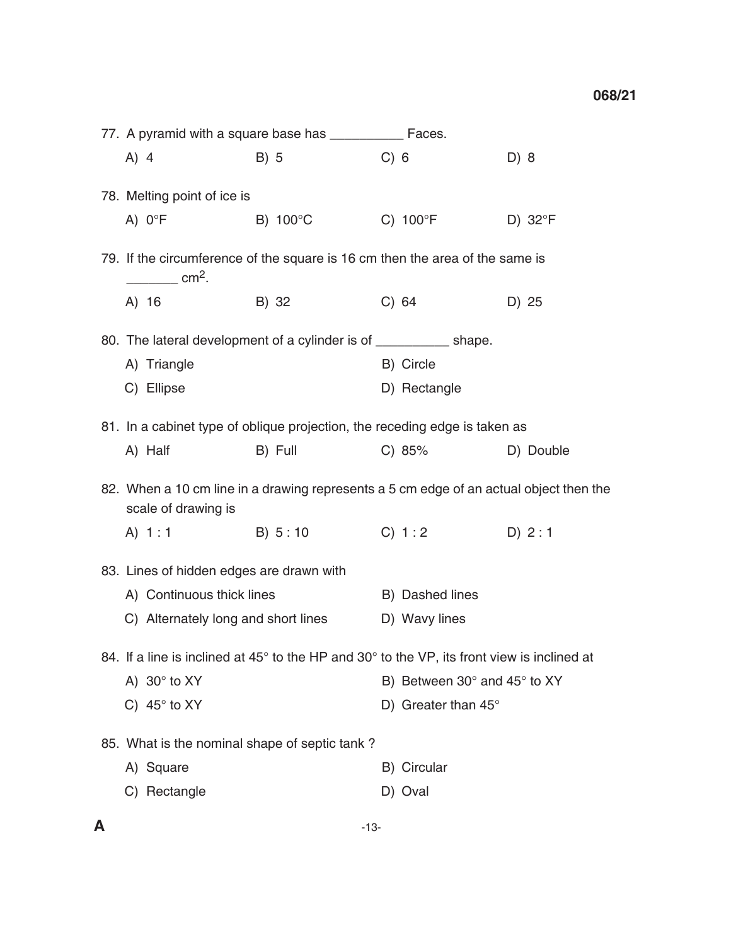|                                               | 77. A pyramid with a square base has _____________ Faces.                                                       |                                                                                                                                                                                                                                |       |                              |                  |
|-----------------------------------------------|-----------------------------------------------------------------------------------------------------------------|--------------------------------------------------------------------------------------------------------------------------------------------------------------------------------------------------------------------------------|-------|------------------------------|------------------|
|                                               | $A)$ 4                                                                                                          | B) 5                                                                                                                                                                                                                           | C) 6  |                              | D) 8             |
|                                               | 78. Melting point of ice is                                                                                     |                                                                                                                                                                                                                                |       |                              |                  |
|                                               | A) $0^{\circ}F$                                                                                                 | B) $100^{\circ}$ C                                                                                                                                                                                                             |       | $C) 100$ <sup>o</sup> F      | D) $32^{\circ}F$ |
|                                               | 79. If the circumference of the square is 16 cm then the area of the same is<br>$\frac{1}{2}$ cm <sup>2</sup> . |                                                                                                                                                                                                                                |       |                              |                  |
|                                               | A) 16                                                                                                           | B) 32                                                                                                                                                                                                                          | C) 64 |                              | D) 25            |
|                                               | 80. The lateral development of a cylinder is of ____________ shape.                                             |                                                                                                                                                                                                                                |       |                              |                  |
|                                               | A) Triangle                                                                                                     |                                                                                                                                                                                                                                |       | B) Circle                    |                  |
|                                               | C) Ellipse                                                                                                      |                                                                                                                                                                                                                                |       | D) Rectangle                 |                  |
|                                               | 81. In a cabinet type of oblique projection, the receding edge is taken as                                      |                                                                                                                                                                                                                                |       |                              |                  |
|                                               | A) Half                                                                                                         | B) Full and the state of the state of the state of the state of the state of the state of the state of the state of the state of the state of the state of the state of the state of the state of the state of the state of th |       | C) 85%                       | D) Double        |
|                                               | 82. When a 10 cm line in a drawing represents a 5 cm edge of an actual object then the<br>scale of drawing is   |                                                                                                                                                                                                                                |       |                              |                  |
|                                               | A) 1:1 B) 5:10 C) 1:2                                                                                           |                                                                                                                                                                                                                                |       |                              | D) 2:1           |
| 83. Lines of hidden edges are drawn with      |                                                                                                                 |                                                                                                                                                                                                                                |       |                              |                  |
|                                               | A) Continuous thick lines                                                                                       |                                                                                                                                                                                                                                |       | B) Dashed lines              |                  |
|                                               | C) Alternately long and short lines                                                                             |                                                                                                                                                                                                                                |       | D) Wavy lines                |                  |
|                                               | 84. If a line is inclined at 45° to the HP and 30° to the VP, its front view is inclined at                     |                                                                                                                                                                                                                                |       |                              |                  |
|                                               | A) $30^\circ$ to XY                                                                                             |                                                                                                                                                                                                                                |       | B) Between 30° and 45° to XY |                  |
|                                               | C) $45^\circ$ to XY                                                                                             |                                                                                                                                                                                                                                |       | D) Greater than $45^\circ$   |                  |
| 85. What is the nominal shape of septic tank? |                                                                                                                 |                                                                                                                                                                                                                                |       |                              |                  |
|                                               | A) Square                                                                                                       |                                                                                                                                                                                                                                |       | B) Circular                  |                  |
|                                               | C) Rectangle                                                                                                    |                                                                                                                                                                                                                                |       | D) Oval                      |                  |
|                                               |                                                                                                                 |                                                                                                                                                                                                                                |       |                              |                  |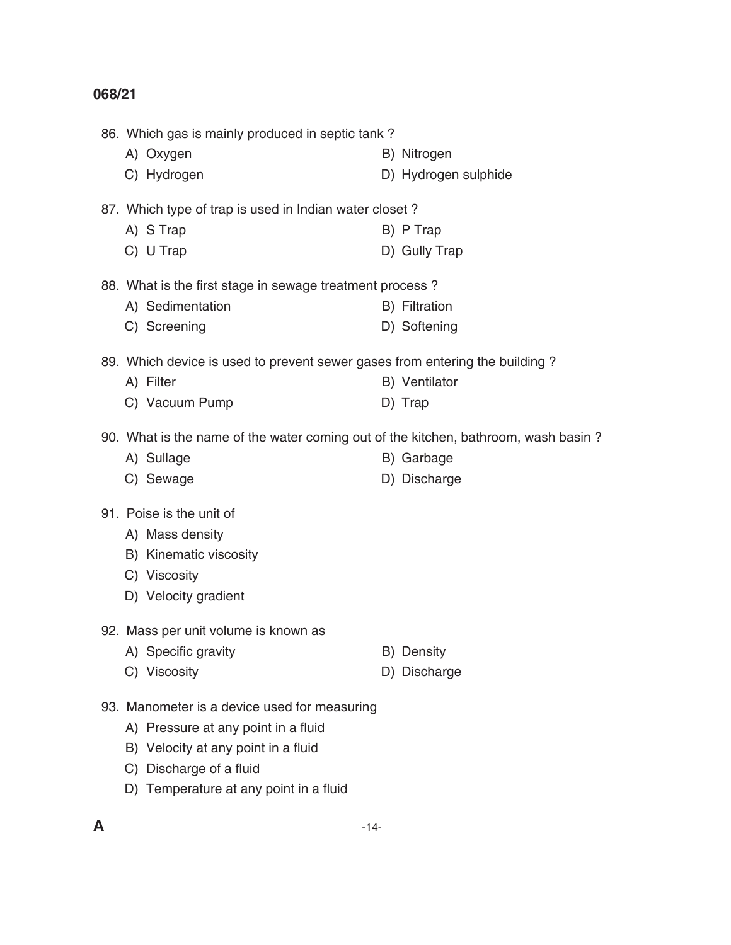86. Which gas is mainly produced in septic tank ? A) Oxygen B) Nitrogen C) Hydrogen D) Hydrogen sulphide 87. Which type of trap is used in Indian water closet ? A) S Trap B) P Trap C) U Trap D) Gully Trap 88. What is the first stage in sewage treatment process ? A) Sedimentation B) Filtration C) Screening D) Softening 89. Which device is used to prevent sewer gases from entering the building ? A) Filter B) Ventilator C) Vacuum Pump D) Trap 90. What is the name of the water coming out of the kitchen, bathroom, wash basin ? A) Sullage B) Garbage C) Sewage D) Discharge 91. Poise is the unit of A) Mass density B) Kinematic viscosity C) Viscosity D) Velocity gradient 92. Mass per unit volume is known as A) Specific gravity B) Density C) Viscosity D) Discharge 93. Manometer is a device used for measuring A) Pressure at any point in a fluid B) Velocity at any point in a fluid C) Discharge of a fluid D) Temperature at any point in a fluid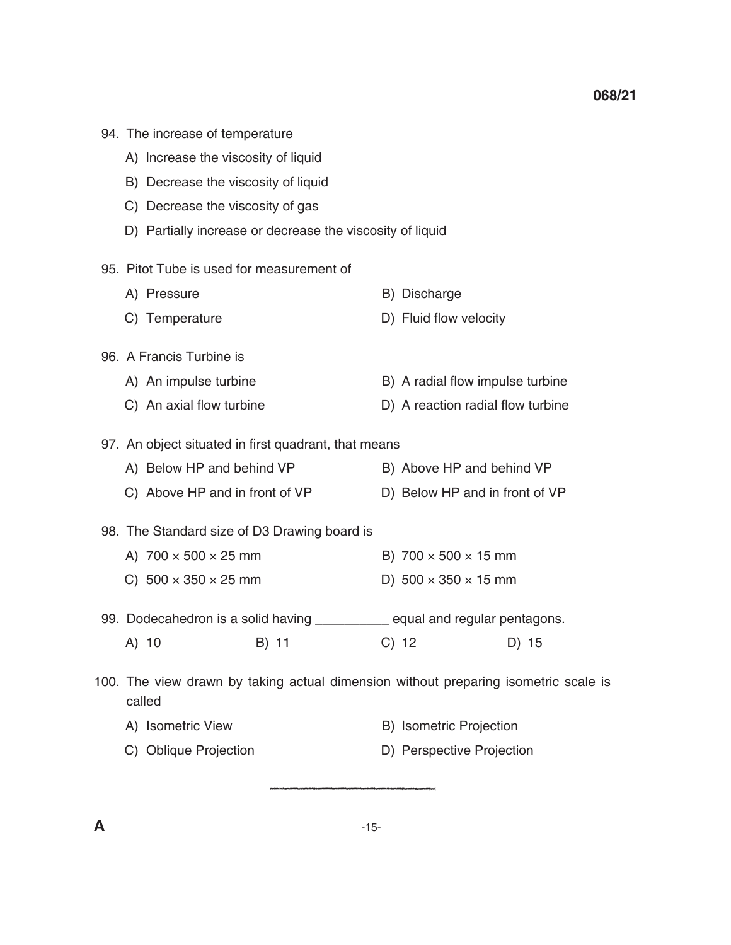- 94. The increase of temperature
	- A) lncrease the viscosity of liquid
	- B) Decrease the viscosity of liquid
	- C) Decrease the viscosity of gas
	- D) Partially increase or decrease the viscosity of liquid
- 95. Pitot Tube is used for measurement of

| A) Pressure    | B) Discharge           |
|----------------|------------------------|
| C) Temperature | D) Fluid flow velocity |

- 96. A Francis Turbine is
	- A) An impulse turbine B) A radial flow impulse turbine
	- C) An axial flow turbine **D**) A reaction radial flow turbine
- 97. An object situated in first quadrant, that means
	- A) Below HP and behind VP B) Above HP and behind VP
		- C) Above HP and in front of VP D) Below HP and in front of VP
- 98. The Standard size of D3 Drawing board is
	- A)  $700 \times 500 \times 25$  mm B)  $700 \times 500 \times 15$  mm
	- C)  $500 \times 350 \times 25$  mm D)  $500 \times 350 \times 15$  mm
- 99. Dodecahedron is a solid having \_\_\_\_\_\_\_\_\_\_ equal and regular pentagons.
- A) 10 B) 11 C) 12 D) 15
- 100. The view drawn by taking actual dimension without preparing isometric scale is called
	- A) Isometric View B) Isometric Projection
	- C) Oblique Projection **D**) Perspective Projection